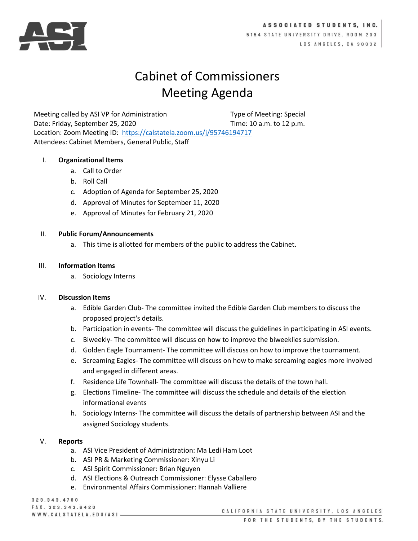

# Cabinet of Commissioners Meeting Agenda

Meeting called by ASI VP for Administration Type of Meeting: Special Date: Friday, September 25, 2020 Time: 10 a.m. to 12 p.m. Location: Zoom Meeting ID:<https://calstatela.zoom.us/j/95746194717> Attendees: Cabinet Members, General Public, Staff

# I. **Organizational Items**

- a. Call to Order
- b. Roll Call
- c. Adoption of Agenda for September 25, 2020
- d. Approval of Minutes for September 11, 2020
- e. Approval of Minutes for February 21, 2020

## II. **Public Forum/Announcements**

a. This time is allotted for members of the public to address the Cabinet.

## III. **Information Items**

a. Sociology Interns

#### IV. **Discussion Items**

- a. Edible Garden Club- The committee invited the Edible Garden Club members to discuss the proposed project's details.
- b. Participation in events- The committee will discuss the guidelines in participating in ASI events.
- c. Biweekly- The committee will discuss on how to improve the biweeklies submission.
- d. Golden Eagle Tournament- The committee will discuss on how to improve the tournament.
- e. Screaming Eagles- The committee will discuss on how to make screaming eagles more involved and engaged in different areas.
- f. Residence Life Townhall- The committee will discuss the details of the town hall.
- g. Elections Timeline- The committee will discuss the schedule and details of the election informational events
- h. Sociology Interns- The committee will discuss the details of partnership between ASI and the assigned Sociology students.

# V. **Reports**

- a. ASI Vice President of Administration: Ma Ledi Ham Loot
- b. ASI PR & Marketing Commissioner: Xinyu Li
- c. ASI Spirit Commissioner: Brian Nguyen
- d. ASI Elections & Outreach Commissioner: Elysse Caballero
- e. Environmental Affairs Commissioner: Hannah Valliere

323.343.4780 FAX. 323.343.6420 WWW.CALSTATELA.EDU/ASI -